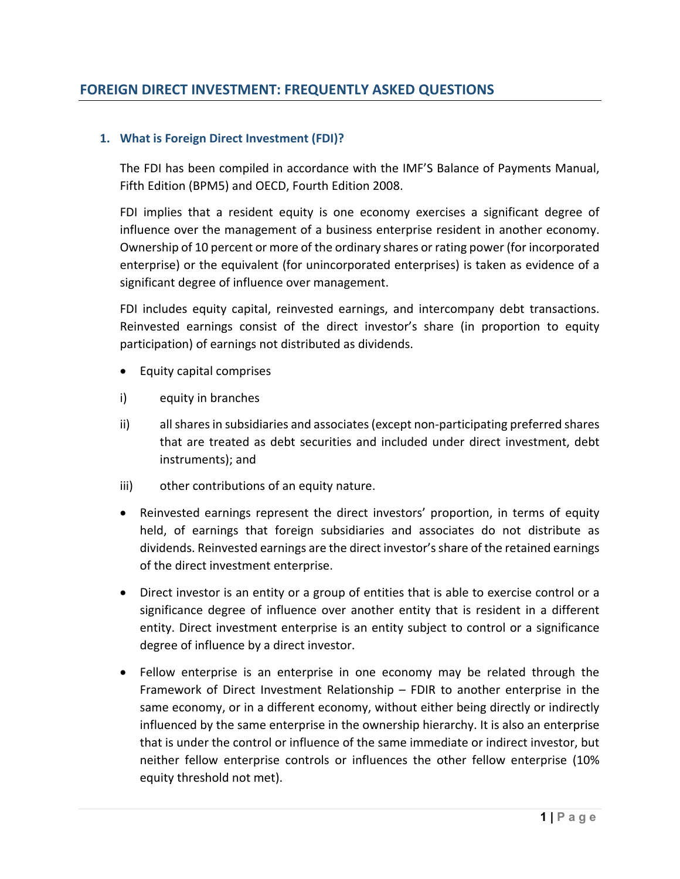### **1. What is Foreign Direct Investment (FDI)?**

The FDI has been compiled in accordance with the IMF'S Balance of Payments Manual, Fifth Edition (BPM5) and OECD, Fourth Edition 2008.

FDI implies that a resident equity is one economy exercises a significant degree of influence over the management of a business enterprise resident in another economy. Ownership of 10 percent or more of the ordinary shares or rating power (for incorporated enterprise) or the equivalent (for unincorporated enterprises) is taken as evidence of a significant degree of influence over management.

FDI includes equity capital, reinvested earnings, and intercompany debt transactions. Reinvested earnings consist of the direct investor's share (in proportion to equity participation) of earnings not distributed as dividends.

- Equity capital comprises
- i) equity in branches
- ii) allsharesin subsidiaries and associates(except non‐participating preferred shares that are treated as debt securities and included under direct investment, debt instruments); and
- iii) other contributions of an equity nature.
- Reinvested earnings represent the direct investors' proportion, in terms of equity held, of earnings that foreign subsidiaries and associates do not distribute as dividends. Reinvested earnings are the direct investor'sshare of the retained earnings of the direct investment enterprise.
- Direct investor is an entity or a group of entities that is able to exercise control or a significance degree of influence over another entity that is resident in a different entity. Direct investment enterprise is an entity subject to control or a significance degree of influence by a direct investor.
- Fellow enterprise is an enterprise in one economy may be related through the Framework of Direct Investment Relationship – FDIR to another enterprise in the same economy, or in a different economy, without either being directly or indirectly influenced by the same enterprise in the ownership hierarchy. It is also an enterprise that is under the control or influence of the same immediate or indirect investor, but neither fellow enterprise controls or influences the other fellow enterprise (10% equity threshold not met).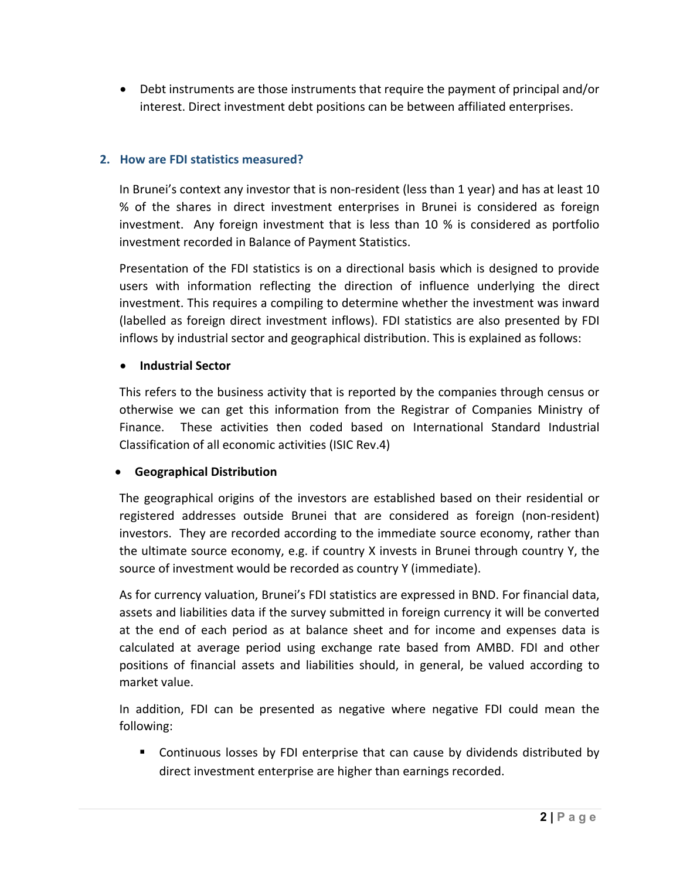Debt instruments are those instruments that require the payment of principal and/or interest. Direct investment debt positions can be between affiliated enterprises.

## **2. How are FDI statistics measured?**

In Brunei's context any investor that is non-resident (less than 1 year) and has at least 10 % of the shares in direct investment enterprises in Brunei is considered as foreign investment. Any foreign investment that is less than 10 % is considered as portfolio investment recorded in Balance of Payment Statistics.

Presentation of the FDI statistics is on a directional basis which is designed to provide users with information reflecting the direction of influence underlying the direct investment. This requires a compiling to determine whether the investment was inward (labelled as foreign direct investment inflows). FDI statistics are also presented by FDI inflows by industrial sector and geographical distribution. This is explained as follows:

#### **Industrial Sector**

This refers to the business activity that is reported by the companies through census or otherwise we can get this information from the Registrar of Companies Ministry of Finance. These activities then coded based on International Standard Industrial Classification of all economic activities (ISIC Rev.4)

## **Geographical Distribution**

The geographical origins of the investors are established based on their residential or registered addresses outside Brunei that are considered as foreign (non‐resident) investors. They are recorded according to the immediate source economy, rather than the ultimate source economy, e.g. if country X invests in Brunei through country Y, the source of investment would be recorded as country Y (immediate).

As for currency valuation, Brunei's FDI statistics are expressed in BND. For financial data, assets and liabilities data if the survey submitted in foreign currency it will be converted at the end of each period as at balance sheet and for income and expenses data is calculated at average period using exchange rate based from AMBD. FDI and other positions of financial assets and liabilities should, in general, be valued according to market value.

In addition, FDI can be presented as negative where negative FDI could mean the following:

 Continuous losses by FDI enterprise that can cause by dividends distributed by direct investment enterprise are higher than earnings recorded.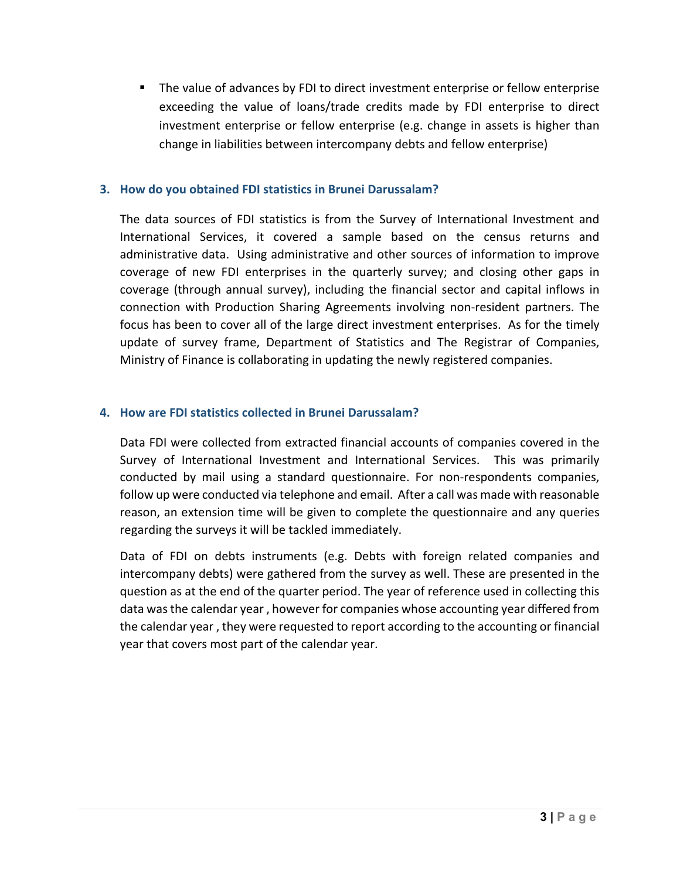The value of advances by FDI to direct investment enterprise or fellow enterprise exceeding the value of loans/trade credits made by FDI enterprise to direct investment enterprise or fellow enterprise (e.g. change in assets is higher than change in liabilities between intercompany debts and fellow enterprise)

#### **3. How do you obtained FDI statistics in Brunei Darussalam?**

The data sources of FDI statistics is from the Survey of International Investment and International Services, it covered a sample based on the census returns and administrative data. Using administrative and other sources of information to improve coverage of new FDI enterprises in the quarterly survey; and closing other gaps in coverage (through annual survey), including the financial sector and capital inflows in connection with Production Sharing Agreements involving non‐resident partners. The focus has been to cover all of the large direct investment enterprises. As for the timely update of survey frame, Department of Statistics and The Registrar of Companies, Ministry of Finance is collaborating in updating the newly registered companies.

## **4. How are FDI statistics collected in Brunei Darussalam?**

Data FDI were collected from extracted financial accounts of companies covered in the Survey of International Investment and International Services. This was primarily conducted by mail using a standard questionnaire. For non‐respondents companies, follow up were conducted via telephone and email. After a call was made with reasonable reason, an extension time will be given to complete the questionnaire and any queries regarding the surveys it will be tackled immediately.

Data of FDI on debts instruments (e.g. Debts with foreign related companies and intercompany debts) were gathered from the survey as well. These are presented in the question as at the end of the quarter period. The year of reference used in collecting this data wasthe calendar year , however for companies whose accounting year differed from the calendar year , they were requested to report according to the accounting or financial year that covers most part of the calendar year.